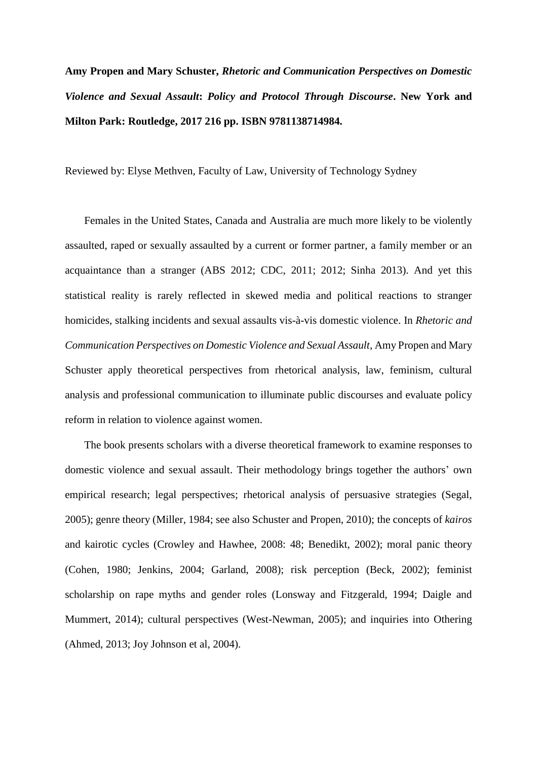## **Amy Propen and Mary Schuster,** *Rhetoric and Communication Perspectives on Domestic Violence and Sexual Assault***:** *Policy and Protocol Through Discourse***. New York and Milton Park: Routledge, 2017 216 pp. ISBN 9781138714984.**

Reviewed by: Elyse Methven, Faculty of Law, University of Technology Sydney

Females in the United States, Canada and Australia are much more likely to be violently assaulted, raped or sexually assaulted by a current or former partner, a family member or an acquaintance than a stranger (ABS 2012; CDC, 2011; 2012; Sinha 2013). And yet this statistical reality is rarely reflected in skewed media and political reactions to stranger homicides, stalking incidents and sexual assaults vis-à-vis domestic violence. In *Rhetoric and Communication Perspectives on Domestic Violence and Sexual Assault*, Amy Propen and Mary Schuster apply theoretical perspectives from rhetorical analysis, law, feminism, cultural analysis and professional communication to illuminate public discourses and evaluate policy reform in relation to violence against women.

The book presents scholars with a diverse theoretical framework to examine responses to domestic violence and sexual assault. Their methodology brings together the authors' own empirical research; legal perspectives; rhetorical analysis of persuasive strategies (Segal, 2005); genre theory (Miller, 1984; see also Schuster and Propen, 2010); the concepts of *kairos* and kairotic cycles (Crowley and Hawhee, 2008: 48; Benedikt, 2002); moral panic theory (Cohen, 1980; Jenkins, 2004; Garland, 2008); risk perception (Beck, 2002); feminist scholarship on rape myths and gender roles (Lonsway and Fitzgerald, 1994; Daigle and Mummert, 2014); cultural perspectives (West-Newman, 2005); and inquiries into Othering (Ahmed, 2013; Joy Johnson et al, 2004).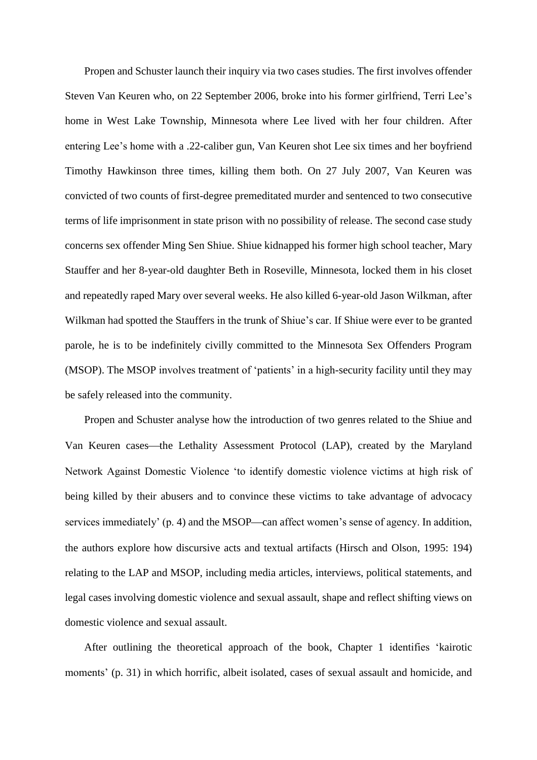Propen and Schuster launch their inquiry via two cases studies. The first involves offender Steven Van Keuren who, on 22 September 2006, broke into his former girlfriend, Terri Lee's home in West Lake Township, Minnesota where Lee lived with her four children. After entering Lee's home with a .22-caliber gun, Van Keuren shot Lee six times and her boyfriend Timothy Hawkinson three times, killing them both. On 27 July 2007, Van Keuren was convicted of two counts of first-degree premeditated murder and sentenced to two consecutive terms of life imprisonment in state prison with no possibility of release. The second case study concerns sex offender Ming Sen Shiue. Shiue kidnapped his former high school teacher, Mary Stauffer and her 8-year-old daughter Beth in Roseville, Minnesota, locked them in his closet and repeatedly raped Mary over several weeks. He also killed 6-year-old Jason Wilkman, after Wilkman had spotted the Stauffers in the trunk of Shiue's car. If Shiue were ever to be granted parole, he is to be indefinitely civilly committed to the Minnesota Sex Offenders Program (MSOP). The MSOP involves treatment of 'patients' in a high-security facility until they may be safely released into the community.

Propen and Schuster analyse how the introduction of two genres related to the Shiue and Van Keuren cases—the Lethality Assessment Protocol (LAP), created by the Maryland Network Against Domestic Violence 'to identify domestic violence victims at high risk of being killed by their abusers and to convince these victims to take advantage of advocacy services immediately' (p. 4) and the MSOP—can affect women's sense of agency. In addition, the authors explore how discursive acts and textual artifacts (Hirsch and Olson, 1995: 194) relating to the LAP and MSOP, including media articles, interviews, political statements, and legal cases involving domestic violence and sexual assault, shape and reflect shifting views on domestic violence and sexual assault.

After outlining the theoretical approach of the book, Chapter 1 identifies 'kairotic moments' (p. 31) in which horrific, albeit isolated, cases of sexual assault and homicide, and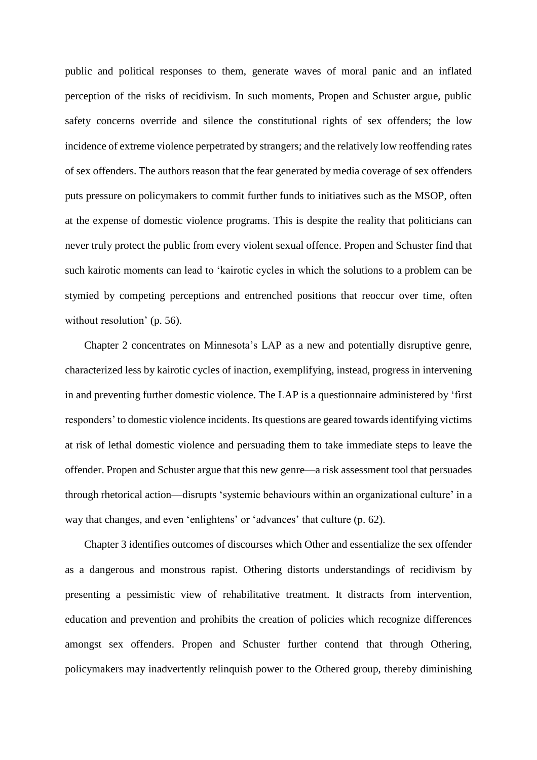public and political responses to them, generate waves of moral panic and an inflated perception of the risks of recidivism. In such moments, Propen and Schuster argue, public safety concerns override and silence the constitutional rights of sex offenders; the low incidence of extreme violence perpetrated by strangers; and the relatively low reoffending rates of sex offenders. The authors reason that the fear generated by media coverage of sex offenders puts pressure on policymakers to commit further funds to initiatives such as the MSOP, often at the expense of domestic violence programs. This is despite the reality that politicians can never truly protect the public from every violent sexual offence. Propen and Schuster find that such kairotic moments can lead to 'kairotic cycles in which the solutions to a problem can be stymied by competing perceptions and entrenched positions that reoccur over time, often without resolution' (p. 56).

Chapter 2 concentrates on Minnesota's LAP as a new and potentially disruptive genre, characterized less by kairotic cycles of inaction, exemplifying, instead, progress in intervening in and preventing further domestic violence. The LAP is a questionnaire administered by 'first responders' to domestic violence incidents. Its questions are geared towards identifying victims at risk of lethal domestic violence and persuading them to take immediate steps to leave the offender. Propen and Schuster argue that this new genre—a risk assessment tool that persuades through rhetorical action—disrupts 'systemic behaviours within an organizational culture' in a way that changes, and even 'enlightens' or 'advances' that culture (p. 62).

Chapter 3 identifies outcomes of discourses which Other and essentialize the sex offender as a dangerous and monstrous rapist. Othering distorts understandings of recidivism by presenting a pessimistic view of rehabilitative treatment. It distracts from intervention, education and prevention and prohibits the creation of policies which recognize differences amongst sex offenders. Propen and Schuster further contend that through Othering, policymakers may inadvertently relinquish power to the Othered group, thereby diminishing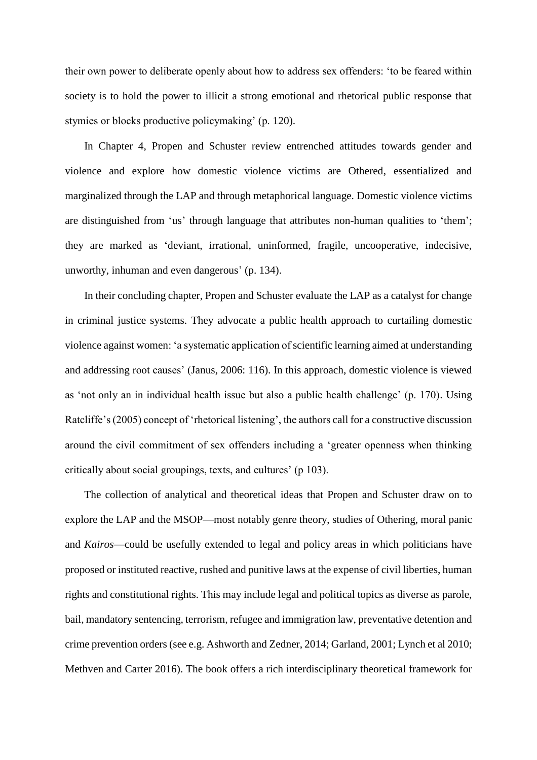their own power to deliberate openly about how to address sex offenders: 'to be feared within society is to hold the power to illicit a strong emotional and rhetorical public response that stymies or blocks productive policymaking' (p. 120).

In Chapter 4, Propen and Schuster review entrenched attitudes towards gender and violence and explore how domestic violence victims are Othered, essentialized and marginalized through the LAP and through metaphorical language. Domestic violence victims are distinguished from 'us' through language that attributes non-human qualities to 'them'; they are marked as 'deviant, irrational, uninformed, fragile, uncooperative, indecisive, unworthy, inhuman and even dangerous' (p. 134).

In their concluding chapter, Propen and Schuster evaluate the LAP as a catalyst for change in criminal justice systems. They advocate a public health approach to curtailing domestic violence against women: 'a systematic application of scientific learning aimed at understanding and addressing root causes' (Janus, 2006: 116). In this approach, domestic violence is viewed as 'not only an in individual health issue but also a public health challenge' (p. 170). Using Ratcliffe's (2005) concept of 'rhetorical listening', the authors call for a constructive discussion around the civil commitment of sex offenders including a 'greater openness when thinking critically about social groupings, texts, and cultures' (p 103).

The collection of analytical and theoretical ideas that Propen and Schuster draw on to explore the LAP and the MSOP—most notably genre theory, studies of Othering, moral panic and *Kairos*—could be usefully extended to legal and policy areas in which politicians have proposed or instituted reactive, rushed and punitive laws at the expense of civil liberties, human rights and constitutional rights. This may include legal and political topics as diverse as parole, bail, mandatory sentencing, terrorism, refugee and immigration law, preventative detention and crime prevention orders (see e.g. Ashworth and Zedner, 2014; Garland, 2001; Lynch et al 2010; Methven and Carter 2016). The book offers a rich interdisciplinary theoretical framework for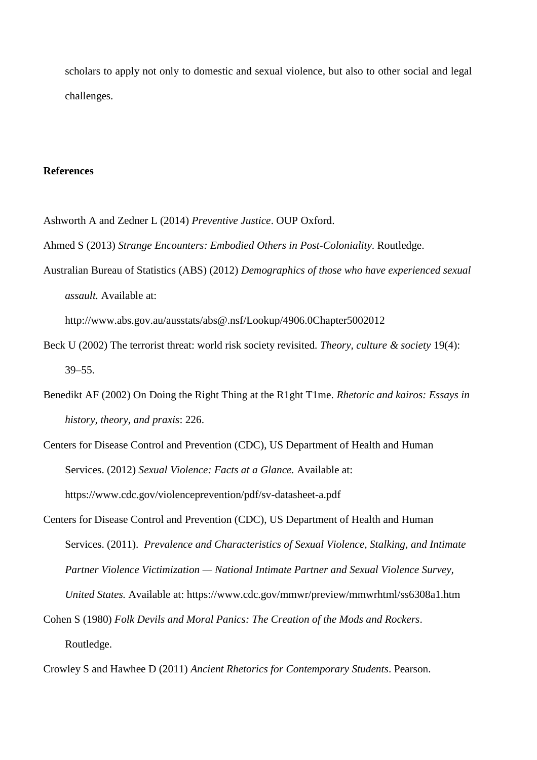scholars to apply not only to domestic and sexual violence, but also to other social and legal challenges.

## **References**

- Ashworth A and Zedner L (2014) *Preventive Justice*. OUP Oxford.
- Ahmed S (2013) *Strange Encounters: Embodied Others in Post-Coloniality*. Routledge.
- Australian Bureau of Statistics (ABS) (2012) *Demographics of those who have experienced sexual assault.* Available at:

http://www.abs.gov.au/ausstats/abs@.nsf/Lookup/4906.0Chapter5002012

- Beck U (2002) The terrorist threat: world risk society revisited. *Theory, culture & society* 19(4): 39–55.
- Benedikt AF (2002) On Doing the Right Thing at the R1ght T1me. *Rhetoric and kairos: Essays in history, theory, and praxis*: 226.
- Centers for Disease Control and Prevention (CDC), US Department of Health and Human Services. (2012) *Sexual Violence: Facts at a Glance.* Available at: https://www.cdc.gov/violenceprevention/pdf/sv-datasheet-a.pdf
- Centers for Disease Control and Prevention (CDC), US Department of Health and Human Services. (2011). *Prevalence and Characteristics of Sexual Violence, Stalking, and Intimate Partner Violence Victimization — National Intimate Partner and Sexual Violence Survey, United States.* Available at: https://www.cdc.gov/mmwr/preview/mmwrhtml/ss6308a1.htm
- Cohen S (1980) *Folk Devils and Moral Panics: The Creation of the Mods and Rockers*. Routledge.
- Crowley S and Hawhee D (2011) *Ancient Rhetorics for Contemporary Students*. Pearson.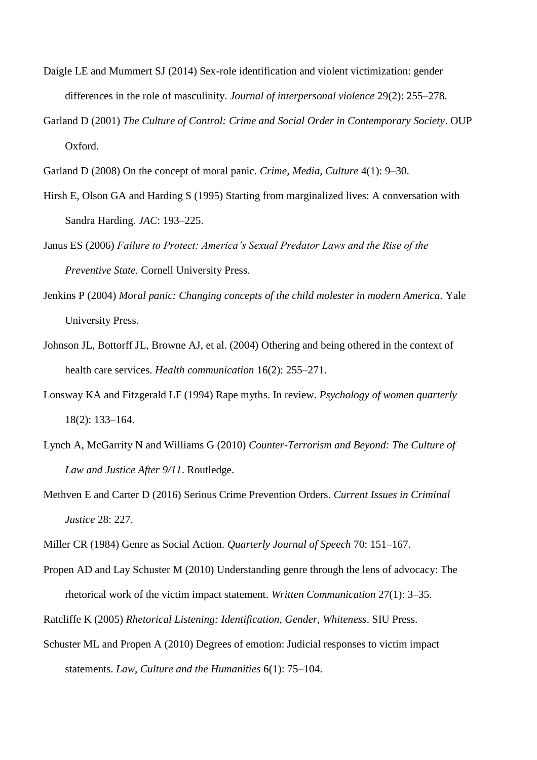- Daigle LE and Mummert SJ (2014) Sex-role identification and violent victimization: gender differences in the role of masculinity. *Journal of interpersonal violence* 29(2): 255–278.
- Garland D (2001) *The Culture of Control: Crime and Social Order in Contemporary Society*. OUP Oxford.
- Garland D (2008) On the concept of moral panic. *Crime, Media, Culture* 4(1): 9–30.
- Hirsh E, Olson GA and Harding S (1995) Starting from marginalized lives: A conversation with Sandra Harding. *JAC*: 193–225.
- Janus ES (2006) *Failure to Protect: America's Sexual Predator Laws and the Rise of the Preventive State*. Cornell University Press.
- Jenkins P (2004) *Moral panic: Changing concepts of the child molester in modern America*. Yale University Press.
- Johnson JL, Bottorff JL, Browne AJ, et al. (2004) Othering and being othered in the context of health care services. *Health communication* 16(2): 255–271.
- Lonsway KA and Fitzgerald LF (1994) Rape myths. In review. *Psychology of women quarterly* 18(2): 133–164.
- Lynch A, McGarrity N and Williams G (2010) *Counter-Terrorism and Beyond: The Culture of Law and Justice After 9/11*. Routledge.
- Methven E and Carter D (2016) Serious Crime Prevention Orders. *Current Issues in Criminal Justice* 28: 227.
- Miller CR (1984) Genre as Social Action. *Quarterly Journal of Speech* 70: 151–167.
- Propen AD and Lay Schuster M (2010) Understanding genre through the lens of advocacy: The rhetorical work of the victim impact statement. *Written Communication* 27(1): 3–35.
- Ratcliffe K (2005) *Rhetorical Listening: Identification, Gender, Whiteness*. SIU Press.
- Schuster ML and Propen A (2010) Degrees of emotion: Judicial responses to victim impact statements. *Law, Culture and the Humanities* 6(1): 75–104.